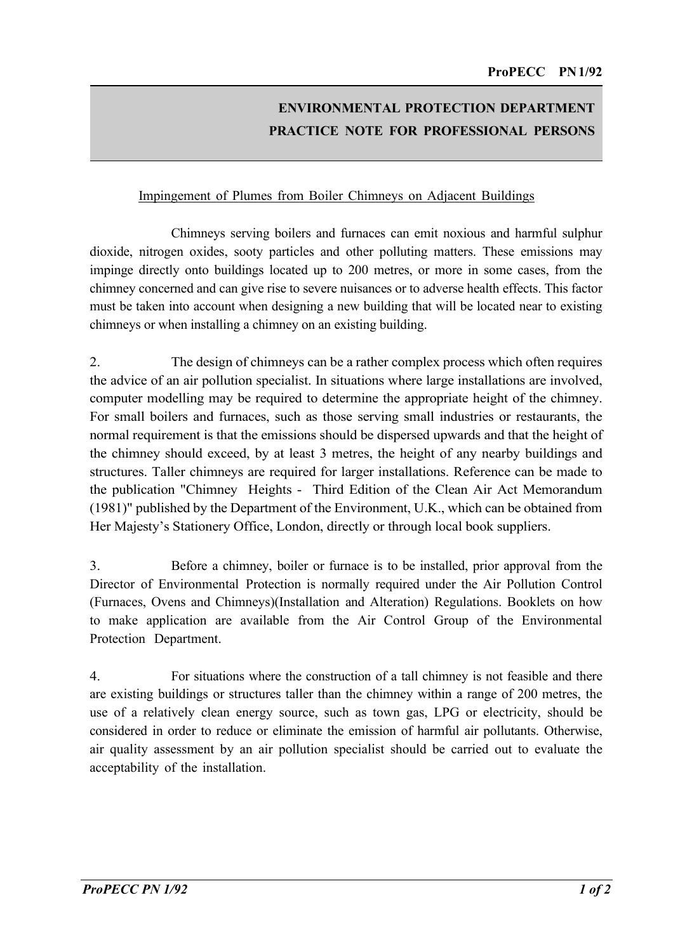## **ENVIRONMENTAL PROTECTION DEPARTMENT PRACTICE NOTE FOR PROFESSIONAL PERSONS**

## Impingement of Plumes from Boiler Chimneys on Adjacent Buildings

Chimneys serving boilers and furnaces can emit noxious and harmful sulphur dioxide, nitrogen oxides, sooty particles and other polluting matters. These emissions may impinge directly onto buildings located up to 200 metres, or more in some cases, from the chimney concerned and can give rise to severe nuisances or to adverse health effects. This factor must be taken into account when designing a new building that will be located near to existing chimneys or when installing a chimney on an existing building.

2. The design of chimneys can be a rather complex process which often requires the advice of an air pollution specialist. In situations where large installations are involved, computer modelling may be required to determine the appropriate height of the chimney. For small boilers and furnaces, such as those serving small industries or restaurants, the normal requirement is that the emissions should be dispersed upwards and that the height of the chimney should exceed, by at least 3 metres, the height of any nearby buildings and structures. Taller chimneys are required for larger installations. Reference can be made to the publication "Chimney Heights - Third Edition of the Clean Air Act Memorandum (1981)" published by the Department of the Environment, U.K., which can be obtained from Her Majesty's Stationery Office, London, directly or through local book suppliers.

3. Before a chimney, boiler or furnace is to be installed, prior approval from the Director of Environmental Protection is normally required under the Air Pollution Control (Furnaces, Ovens and Chimneys)(Installation and Alteration) Regulations. Booklets on how to make application are available from the Air Control Group of the Environmental Protection Department.

4. For situations where the construction of a tall chimney is not feasible and there are existing buildings or structures taller than the chimney within a range of 200 metres, the use of a relatively clean energy source, such as town gas, LPG or electricity, should be considered in order to reduce or eliminate the emission of harmful air pollutants. Otherwise, air quality assessment by an air pollution specialist should be carried out to evaluate the acceptability of the installation.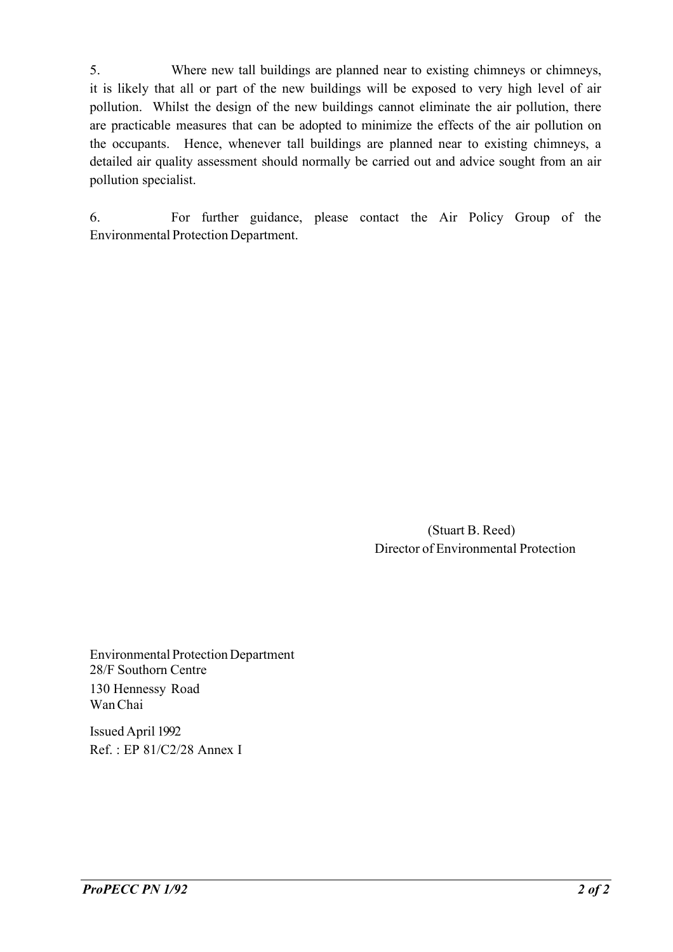5. Where new tall buildings are planned near to existing chimneys or chimneys, it is likely that all or part of the new buildings will be exposed to very high level of air pollution. Whilst the design of the new buildings cannot eliminate the air pollution, there are practicable measures that can be adopted to minimize the effects of the air pollution on the occupants. Hence, whenever tall buildings are planned near to existing chimneys, a detailed air quality assessment should normally be carried out and advice sought from an air pollution specialist.

6. For further guidance, please contact the Air Policy Group of the Environmental Protection Department.

> (Stuart B. Reed) Director of Environmental Protection

Environmental ProtectionDepartment 28/F Southorn Centre 130 Hennessy Road WanChai

Issued April 1992 Ref. : EP 81/C2/28 Annex I